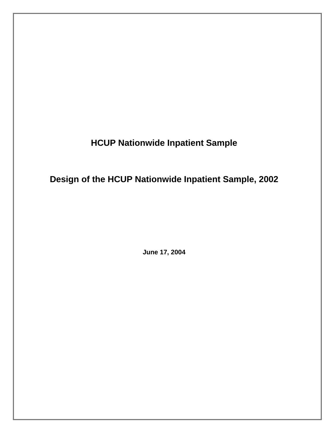**HCUP Nationwide Inpatient Sample** 

**Design of the HCUP Nationwide Inpatient Sample, 2002** 

**June 17, 2004**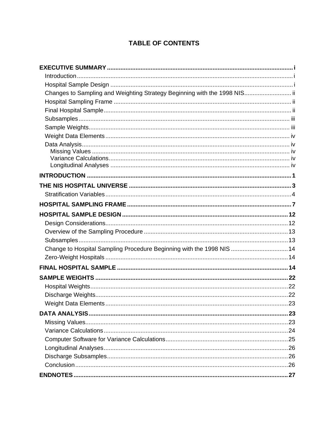# **TABLE OF CONTENTS**

| Changes to Sampling and Weighting Strategy Beginning with the 1998 NIS ii |  |
|---------------------------------------------------------------------------|--|
|                                                                           |  |
|                                                                           |  |
|                                                                           |  |
|                                                                           |  |
|                                                                           |  |
|                                                                           |  |
|                                                                           |  |
|                                                                           |  |
|                                                                           |  |
|                                                                           |  |
|                                                                           |  |
|                                                                           |  |
|                                                                           |  |
|                                                                           |  |
|                                                                           |  |
|                                                                           |  |
|                                                                           |  |
| Change to Hospital Sampling Procedure Beginning with the 1998 NIS 14      |  |
|                                                                           |  |
|                                                                           |  |
|                                                                           |  |
|                                                                           |  |
|                                                                           |  |
|                                                                           |  |
|                                                                           |  |
|                                                                           |  |
|                                                                           |  |
|                                                                           |  |
|                                                                           |  |
|                                                                           |  |
|                                                                           |  |
|                                                                           |  |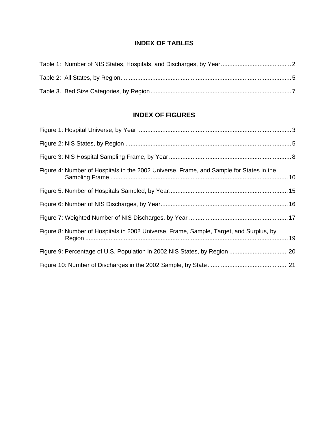# **INDEX OF TABLES**

# **INDEX OF FIGURES**

| Figure 4: Number of Hospitals in the 2002 Universe, Frame, and Sample for States in the |
|-----------------------------------------------------------------------------------------|
|                                                                                         |
|                                                                                         |
|                                                                                         |
| Figure 8: Number of Hospitals in 2002 Universe, Frame, Sample, Target, and Surplus, by  |
|                                                                                         |
|                                                                                         |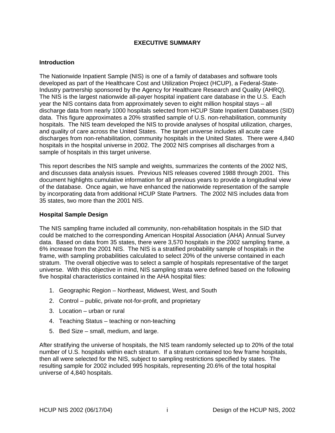# **EXECUTIVE SUMMARY**

#### <span id="page-3-0"></span>**Introduction**

The Nationwide Inpatient Sample (NIS) is one of a family of databases and software tools developed as part of the Healthcare Cost and Utilization Project (HCUP), a Federal-State-Industry partnership sponsored by the Agency for Healthcare Research and Quality (AHRQ). The NIS is the largest nationwide all-payer hospital inpatient care database in the U.S. Each year the NIS contains data from approximately seven to eight million hospital stays – all discharge data from nearly 1000 hospitals selected from HCUP State Inpatient Databases (SID) data. This figure approximates a 20% stratified sample of U.S. non-rehabilitation, community hospitals. The NIS team developed the NIS to provide analyses of hospital utilization, charges, and quality of care across the United States. The target universe includes all acute care discharges from non-rehabilitation, community hospitals in the United States. There were 4,840 hospitals in the hospital universe in 2002. The 2002 NIS comprises all discharges from a sample of hospitals in this target universe.

This report describes the NIS sample and weights, summarizes the contents of the 2002 NIS, and discusses data analysis issues. Previous NIS releases covered 1988 through 2001. This document highlights cumulative information for all previous years to provide a longitudinal view of the database. Once again, we have enhanced the nationwide representation of the sample by incorporating data from additional HCUP State Partners. The 2002 NIS includes data from 35 states, two more than the 2001 NIS.

#### **Hospital Sample Design**

The NIS sampling frame included all community, non-rehabilitation hospitals in the SID that could be matched to the corresponding American Hospital Association (AHA) Annual Survey data. Based on data from 35 states, there were 3,570 hospitals in the 2002 sampling frame, a 6% increase from the 2001 NIS. The NIS is a stratified probability sample of hospitals in the frame, with sampling probabilities calculated to select 20% of the universe contained in each stratum. The overall objective was to select a sample of hospitals representative of the target universe. With this objective in mind, NIS sampling strata were defined based on the following five hospital characteristics contained in the AHA hospital files:

- 1. Geographic Region Northeast, Midwest, West, and South
- 2. Control public, private not-for-profit, and proprietary
- 3. Location urban or rural
- 4. Teaching Status teaching or non-teaching
- 5. Bed Size small, medium, and large.

After stratifying the universe of hospitals, the NIS team randomly selected up to 20% of the total number of U.S. hospitals within each stratum. If a stratum contained too few frame hospitals, then all were selected for the NIS, subject to sampling restrictions specified by states. The resulting sample for 2002 included 995 hospitals, representing 20.6% of the total hospital universe of 4,840 hospitals.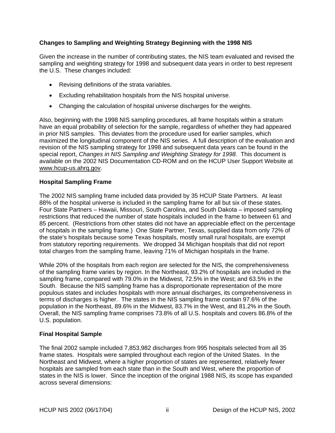# <span id="page-4-0"></span>**Changes to Sampling and Weighting Strategy Beginning with the 1998 NIS**

Given the increase in the number of contributing states, the NIS team evaluated and revised the sampling and weighting strategy for 1998 and subsequent data years in order to best represent the U.S. These changes included:

- Revising definitions of the strata variables.
- Excluding rehabilitation hospitals from the NIS hospital universe.
- Changing the calculation of hospital universe discharges for the weights.

Also, beginning with the 1998 NIS sampling procedures, all frame hospitals within a stratum have an equal probability of selection for the sample, regardless of whether they had appeared in prior NIS samples. This deviates from the procedure used for earlier samples, which maximized the longitudinal component of the NIS series. A full description of the evaluation and revision of the NIS sampling strategy for 1998 and subsequent data years can be found in the special report, *Changes in NIS Sampling and Weighting Strategy for 1998*. This document is available on the 2002 NIS Documentation CD-ROM and on the HCUP User Support Website at [www.hcup-us.ahrq.gov.](http://www.hcup-us.ahrq.gov/)

# **Hospital Sampling Frame**

The 2002 NIS sampling frame included data provided by 35 HCUP State Partners. At least 88% of the hospital universe is included in the sampling frame for all but six of these states. Four State Partners – Hawaii, Missouri, South Carolina, and South Dakota – imposed sampling restrictions that reduced the number of state hospitals included in the frame to between 61 and 85 percent. (Restrictions from other states did not have an appreciable effect on the percentage of hospitals in the sampling frame.) One State Partner, Texas, supplied data from only 72% of the state's hospitals because some Texas hospitals, mostly small rural hospitals, are exempt from statutory reporting requirements. We dropped 34 Michigan hospitals that did not report total charges from the sampling frame, leaving 71% of Michigan hospitals in the frame.

While 20% of the hospitals from each region are selected for the NIS, the comprehensiveness of the sampling frame varies by region. In the Northeast, 93.2% of hospitals are included in the sampling frame, compared with 79.0% in the Midwest, 72.5% in the West; and 63.5% in the South. Because the NIS sampling frame has a disproportionate representation of the more populous states and includes hospitals with more annual discharges, its comprehensiveness in terms of discharges is higher. The states in the NIS sampling frame contain 97.6% of the population in the Northeast, 89.6% in the Midwest, 83.7% in the West, and 81.2% in the South. Overall, the NIS sampling frame comprises 73.8% of all U.S. hospitals and covers 86.8% of the U.S. population.

# **Final Hospital Sample**

The final 2002 sample included 7,853,982 discharges from 995 hospitals selected from all 35 frame states. Hospitals were sampled throughout each region of the United States. In the Northeast and Midwest, where a higher proportion of states are represented, relatively fewer hospitals are sampled from each state than in the South and West, where the proportion of states in the NIS is lower. Since the inception of the original 1988 NIS, its scope has expanded across several dimensions: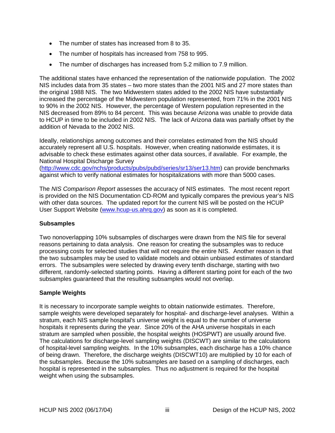- <span id="page-5-0"></span>• The number of states has increased from 8 to 35.
- The number of hospitals has increased from 758 to 995.
- The number of discharges has increased from 5.2 million to 7.9 million.

The additional states have enhanced the representation of the nationwide population. The 2002 NIS includes data from 35 states – two more states than the 2001 NIS and 27 more states than the original 1988 NIS. The two Midwestern states added to the 2002 NIS have substantially increased the percentage of the Midwestern population represented, from 71% in the 2001 NIS to 90% in the 2002 NIS. However, the percentage of Western population represented in the NIS decreased from 89% to 84 percent. This was because Arizona was unable to provide data to HCUP in time to be included in 2002 NIS. The lack of Arizona data was partially offset by the addition of Nevada to the 2002 NIS.

Ideally, relationships among outcomes and their correlates estimated from the NIS should accurately represent all U.S. hospitals. However, when creating nationwide estimates, it is advisable to check these estimates against other data sources, if available. For example, the National Hospital Discharge Survey ([http://www.cdc.gov/nchs/products/pubs/pubd/series/sr13/ser13.htm\)](http://www.cdc.gov/nchs/products/pubs/pubd/series/sr13/ser13.htm) can provide benchmarks against which to verify national estimates for hospitalizations with more than 5000 cases.

The *NIS Comparison Report* assesses the accuracy of NIS estimates. The most recent report is provided on the NIS Documentation CD-ROM and typically compares the previous year's NIS with other data sources. The updated report for the current NIS will be posted on the HCUP User Support Website [\(www.hcup-us.ahrq.gov](http://www.hcup-us.ahrq.gov/)) as soon as it is completed.

# **Subsamples**

Two nonoverlapping 10% subsamples of discharges were drawn from the NIS file for several reasons pertaining to data analysis. One reason for creating the subsamples was to reduce processing costs for selected studies that will not require the entire NIS. Another reason is that the two subsamples may be used to validate models and obtain unbiased estimates of standard errors. The subsamples were selected by drawing every tenth discharge, starting with two different, randomly-selected starting points. Having a different starting point for each of the two subsamples guaranteed that the resulting subsamples would not overlap.

# **Sample Weights**

It is necessary to incorporate sample weights to obtain nationwide estimates. Therefore, sample weights were developed separately for hospital- and discharge-level analyses. Within a stratum, each NIS sample hospital's universe weight is equal to the number of universe hospitals it represents during the year. Since 20% of the AHA universe hospitals in each stratum are sampled when possible, the hospital weights (HOSPWT) are usually around five. The calculations for discharge-level sampling weights (DISCWT) are similar to the calculations of hospital-level sampling weights. In the 10% subsamples, each discharge has a 10% chance of being drawn. Therefore, the discharge weights (DISCWT10) are multiplied by 10 for each of the subsamples. Because the 10% subsamples are based on a sampling of discharges, each hospital is represented in the subsamples. Thus no adjustment is required for the hospital weight when using the subsamples.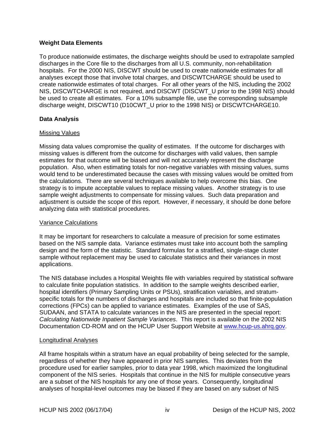# <span id="page-6-0"></span>**Weight Data Elements**

To produce nationwide estimates, the discharge weights should be used to extrapolate sampled discharges in the Core file to the discharges from all U.S. community, non-rehabilitation hospitals. For the 2000 NIS, DISCWT should be used to create nationwide estimates for all analyses except those that involve total charges, and DISCWTCHARGE should be used to create nationwide estimates of total charges. For all other years of the NIS, including the 2002 NIS, DISCWTCHARGE is not required, and DISCWT (DISCWT\_U prior to the 1998 NIS) should be used to create all estimates. For a 10% subsample file, use the corresponding subsample discharge weight, DISCWT10 (D10CWT\_U prior to the 1998 NIS) or DISCWTCHARGE10.

# **Data Analysis**

### Missing Values

Missing data values compromise the quality of estimates. If the outcome for discharges with missing values is different from the outcome for discharges with valid values, then sample estimates for that outcome will be biased and will not accurately represent the discharge population. Also, when estimating totals for non-negative variables with missing values, sums would tend to be underestimated because the cases with missing values would be omitted from the calculations. There are several techniques available to help overcome this bias. One strategy is to impute acceptable values to replace missing values. Another strategy is to use sample weight adjustments to compensate for missing values. Such data preparation and adjustment is outside the scope of this report. However, if necessary, it should be done before analyzing data with statistical procedures.

# Variance Calculations

It may be important for researchers to calculate a measure of precision for some estimates based on the NIS sample data. Variance estimates must take into account both the sampling design and the form of the statistic. Standard formulas for a stratified, single-stage cluster sample without replacement may be used to calculate statistics and their variances in most applications.

The NIS database includes a Hospital Weights file with variables required by statistical software to calculate finite population statistics. In addition to the sample weights described earlier, hospital identifiers (Primary Sampling Units or PSUs), stratification variables, and stratumspecific totals for the numbers of discharges and hospitals are included so that finite-population corrections (FPCs) can be applied to variance estimates. Examples of the use of SAS, SUDAAN, and STATA to calculate variances in the NIS are presented in the special report: *Calculating Nationwide Inpatient Sample Variances*. This report is available on the 2002 NIS Documentation CD-ROM and on the HCUP User Support Website at [www.hcup-us.ahrq.gov](http://www.hcup-us.ahrq.gov/).

# Longitudinal Analyses

All frame hospitals within a stratum have an equal probability of being selected for the sample, regardless of whether they have appeared in prior NIS samples. This deviates from the procedure used for earlier samples, prior to data year 1998, which maximized the longitudinal component of the NIS series. Hospitals that continue in the NIS for multiple consecutive years are a subset of the NIS hospitals for any one of those years. Consequently, longitudinal analyses of hospital-level outcomes may be biased if they are based on any subset of NIS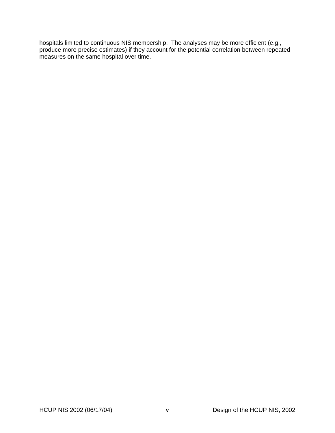hospitals limited to continuous NIS membership. The analyses may be more efficient (e.g., produce more precise estimates) if they account for the potential correlation between repeated measures on the same hospital over time.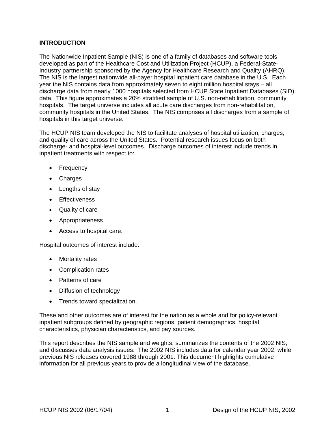# <span id="page-8-0"></span>**INTRODUCTION**

The Nationwide Inpatient Sample (NIS) is one of a family of databases and software tools developed as part of the Healthcare Cost and Utilization Project (HCUP), a Federal-State-Industry partnership sponsored by the Agency for Healthcare Research and Quality (AHRQ). The NIS is the largest nationwide all-payer hospital inpatient care database in the U.S. Each year the NIS contains data from approximately seven to eight million hospital stays – all discharge data from nearly 1000 hospitals selected from HCUP State Inpatient Databases (SID) data. This figure approximates a 20% stratified sample of U.S. non-rehabilitation, community hospitals. The target universe includes all acute care discharges from non-rehabilitation, community hospitals in the United States. The NIS comprises all discharges from a sample of hospitals in this target universe.

The HCUP NIS team developed the NIS to facilitate analyses of hospital utilization, charges, and quality of care across the United States. Potential research issues focus on both discharge- and hospital-level outcomes. Discharge outcomes of interest include trends in inpatient treatments with respect to:

- Frequency
- Charges
- Lengths of stay
- Effectiveness
- Quality of care
- Appropriateness
- Access to hospital care.

Hospital outcomes of interest include:

- Mortality rates
- Complication rates
- Patterns of care
- Diffusion of technology
- Trends toward specialization.

These and other outcomes are of interest for the nation as a whole and for policy-relevant inpatient subgroups defined by geographic regions, patient demographics, hospital characteristics, physician characteristics, and pay sources.

This report describes the NIS sample and weights, summarizes the contents of the 2002 NIS, and discusses data analysis issues. The 2002 NIS includes data for calendar year 2002, while previous NIS releases covered 1988 through 2001. This document highlights cumulative information for all previous years to provide a longitudinal view of the database.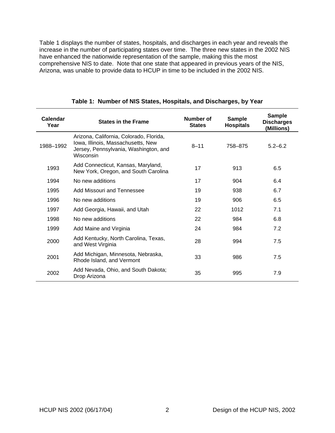<span id="page-9-0"></span>[Table 1](#page-9-1) displays the number of states, hospitals, and discharges in each year and reveals the increase in the number of participating states over time. The three new states in the 2002 NIS have enhanced the nationwide representation of the sample, making this the most comprehensive NIS to date. Note that one state that appeared in previous years of the NIS, Arizona, was unable to provide data to HCUP in time to be included in the 2002 NIS.

| Calendar<br>Year | <b>States in the Frame</b>                                                                                                          | Number of<br><b>States</b> | <b>Sample</b><br><b>Hospitals</b> | <b>Sample</b><br><b>Discharges</b><br>(Millions) |
|------------------|-------------------------------------------------------------------------------------------------------------------------------------|----------------------------|-----------------------------------|--------------------------------------------------|
| 1988-1992        | Arizona, California, Colorado, Florida,<br>Iowa, Illinois, Massachusetts, New<br>Jersey, Pennsylvania, Washington, and<br>Wisconsin | $8 - 11$                   | 758-875                           | $5.2 - 6.2$                                      |
| 1993             | Add Connecticut, Kansas, Maryland,<br>New York, Oregon, and South Carolina                                                          | 17                         | 913                               | 6.5                                              |
| 1994             | No new additions                                                                                                                    | 17                         | 904                               | 6.4                                              |
| 1995             | Add Missouri and Tennessee                                                                                                          | 19                         | 938                               | 6.7                                              |
| 1996             | No new additions                                                                                                                    | 19                         | 906                               | 6.5                                              |
| 1997             | Add Georgia, Hawaii, and Utah                                                                                                       | 22                         | 1012                              | 7.1                                              |
| 1998             | No new additions                                                                                                                    | 22                         | 984                               | 6.8                                              |
| 1999             | Add Maine and Virginia                                                                                                              | 24                         | 984                               | 7.2                                              |
| 2000             | Add Kentucky, North Carolina, Texas,<br>and West Virginia                                                                           | 28                         | 994                               | 7.5                                              |
| 2001             | Add Michigan, Minnesota, Nebraska,<br>Rhode Island, and Vermont                                                                     | 33                         | 986                               | 7.5                                              |
| 2002             | Add Nevada, Ohio, and South Dakota;<br>Drop Arizona                                                                                 | 35                         | 995                               | 7.9                                              |

<span id="page-9-1"></span>**Table 1: Number of NIS States, Hospitals, and Discharges, by Year**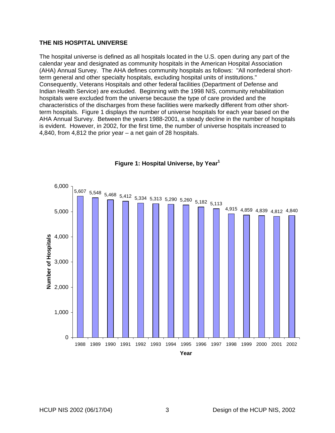### <span id="page-10-0"></span>**THE NIS HOSPITAL UNIVERSE**

The hospital universe is defined as all hospitals located in the U.S. open during any part of the calendar year and designated as community hospitals in the American Hospital Association (AHA) Annual Survey. The AHA defines community hospitals as follows: "All nonfederal shortterm general and other specialty hospitals, excluding hospital units of institutions." Consequently, Veterans Hospitals and other federal facilities (Department of Defense and Indian Health Service) are excluded. Beginning with the 1998 NIS, community rehabilitation hospitals were excluded from the universe because the type of care provided and the characteristics of the discharges from these facilities were markedly different from other shortterm hospitals. [Figure 1](#page-10-1) displays the number of universe hospitals for each year based on the AHA Annual Survey. Between the years 1988-2001, a steady decline in the number of hospitals is evident. However, in 2002, for the first time, the number of universe hospitals increased to 4,840, from 4,812 the prior year – a net gain of 28 hospitals.



### <span id="page-10-1"></span>**Figure 1: Hospital Universe, by Yea[r1](#page-34-1)**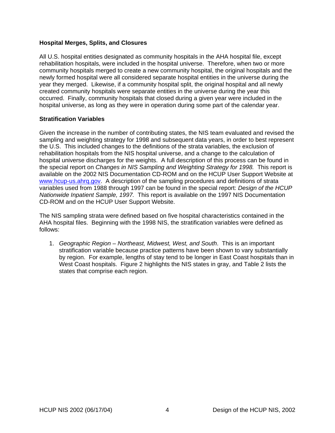### <span id="page-11-0"></span>**Hospital Merges, Splits, and Closures**

All U.S. hospital entities designated as community hospitals in the AHA hospital file, except rehabilitation hospitals, were included in the hospital universe. Therefore, when two or more community hospitals merged to create a new community hospital, the original hospitals and the newly formed hospital were all considered separate hospital entities in the universe during the year they merged. Likewise, if a community hospital split, the original hospital and all newly created community hospitals were separate entities in the universe during the year this occurred. Finally, community hospitals that closed during a given year were included in the hospital universe, as long as they were in operation during some part of the calendar year.

### **Stratification Variables**

Given the increase in the number of contributing states, the NIS team evaluated and revised the sampling and weighting strategy for 1998 and subsequent data years, in order to best represent the U.S. This included changes to the definitions of the strata variables, the exclusion of rehabilitation hospitals from the NIS hospital universe, and a change to the calculation of hospital universe discharges for the weights. A full description of this process can be found in the special report on *Changes in NIS Sampling and Weighting Strategy for 1998.* This report is available on the 2002 NIS Documentation CD-ROM and on the HCUP User Support Website at [www.hcup-us.ahrq.gov.](http://www.hcup-us.ahrq.gov/) A description of the sampling procedures and definitions of strata variables used from 1988 through 1997 can be found in the special report: *Design of the HCUP Nationwide Inpatient Sample, 1997.* This report is available on the 1997 NIS Documentation CD-ROM and on the HCUP User Support Website.

The NIS sampling strata were defined based on five hospital characteristics contained in the AHA hospital files. Beginning with the 1998 NIS, the stratification variables were defined as follows:

1. *Geographic Region – Northeast, Midwest, West, and South*. This is an important stratification variable because practice patterns have been shown to vary substantially by region. For example, lengths of stay tend to be longer in East Coast hospitals than in West Coast hospitals. [Figure 2](#page-12-1) highlights the NIS states in gray, and [Table 2](#page-12-2) lists the states that comprise each region.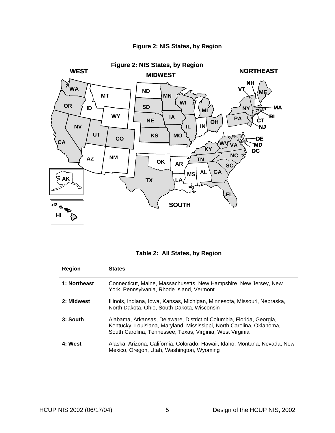<span id="page-12-0"></span>

# <span id="page-12-1"></span>**Figure 2: NIS States, by Region**

<span id="page-12-2"></span>

|  |  | Table 2: All States, by Region |
|--|--|--------------------------------|
|--|--|--------------------------------|

| Region       | <b>States</b>                                                                                                                                                                                              |
|--------------|------------------------------------------------------------------------------------------------------------------------------------------------------------------------------------------------------------|
| 1: Northeast | Connecticut, Maine, Massachusetts, New Hampshire, New Jersey, New<br>York, Pennsylvania, Rhode Island, Vermont                                                                                             |
| 2: Midwest   | Illinois, Indiana, Iowa, Kansas, Michigan, Minnesota, Missouri, Nebraska,<br>North Dakota, Ohio, South Dakota, Wisconsin                                                                                   |
| 3: South     | Alabama, Arkansas, Delaware, District of Columbia, Florida, Georgia,<br>Kentucky, Louisiana, Maryland, Mississippi, North Carolina, Oklahoma,<br>South Carolina, Tennessee, Texas, Virginia, West Virginia |
| 4: West      | Alaska, Arizona, California, Colorado, Hawaii, Idaho, Montana, Nevada, New<br>Mexico, Oregon, Utah, Washington, Wyoming                                                                                    |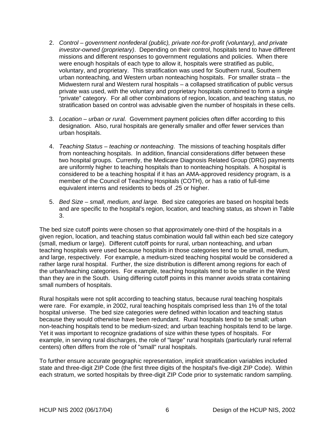- 2. *Control government nonfederal (public), private not-for-profit (voluntary), and private investor-owned (proprietary)*. Depending on their control, hospitals tend to have different missions and different responses to government regulations and policies. When there were enough hospitals of each type to allow it, hospitals were stratified as public, voluntary, and proprietary. This stratification was used for Southern rural, Southern urban nonteaching, and Western urban nonteaching hospitals. For smaller strata – the Midwestern rural and Western rural hospitals – a collapsed stratification of public versus private was used, with the voluntary and proprietary hospitals combined to form a single "private" category. For all other combinations of region, location, and teaching status, no stratification based on control was advisable given the number of hospitals in these cells.
- 3. *Location urban or rural.* Government payment policies often differ according to this designation. Also, rural hospitals are generally smaller and offer fewer services than urban hospitals.
- 4. *Teaching Status teaching or nonteaching*. The missions of teaching hospitals differ from nonteaching hospitals. In addition, financial considerations differ between these two hospital groups. Currently, the Medicare Diagnosis Related Group (DRG) payments are uniformly higher to teaching hospitals than to nonteaching hospitals. A hospital is considered to be a teaching hospital if it has an AMA-approved residency program, is a member of the Council of Teaching Hospitals (COTH), or has a ratio of full-time equivalent interns and residents to beds of .25 or higher.
- 5. *Bed Size small, medium, and large.* Bed size categories are based on hospital beds and are specific to the hospital's region, location, and teaching status, as shown in [Table](#page-14-1)  [3.](#page-14-1)

The bed size cutoff points were chosen so that approximately one-third of the hospitals in a given region, location, and teaching status combination would fall within each bed size category (small, medium or large). Different cutoff points for rural, urban nonteaching, and urban teaching hospitals were used because hospitals in those categories tend to be small, medium, and large, respectively. For example, a medium-sized teaching hospital would be considered a rather large rural hospital. Further, the size distribution is different among regions for each of the urban/teaching categories. For example, teaching hospitals tend to be smaller in the West than they are in the South. Using differing cutoff points in this manner avoids strata containing small numbers of hospitals.

Rural hospitals were not split according to teaching status, because rural teaching hospitals were rare. For example, in 2002, rural teaching hospitals comprised less than 1% of the total hospital universe. The bed size categories were defined within location and teaching status because they would otherwise have been redundant. Rural hospitals tend to be small; urban non-teaching hospitals tend to be medium-sized; and urban teaching hospitals tend to be large. Yet it was important to recognize gradations of size within these types of hospitals. For example, in serving rural discharges, the role of "large" rural hospitals (particularly rural referral centers) often differs from the role of "small" rural hospitals.

To further ensure accurate geographic representation, implicit stratification variables included state and three-digit ZIP Code (the first three digits of the hospital's five-digit ZIP Code). Within each stratum, we sorted hospitals by three-digit ZIP Code prior to systematic random sampling.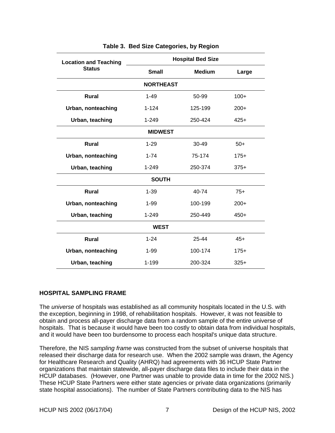<span id="page-14-0"></span>

| <b>Location and Teaching</b> | <b>Hospital Bed Size</b> |               |        |
|------------------------------|--------------------------|---------------|--------|
| <b>Status</b>                | <b>Small</b>             | <b>Medium</b> | Large  |
|                              | <b>NORTHEAST</b>         |               |        |
| <b>Rural</b>                 | $1 - 49$                 | 50-99         | $100+$ |
| Urban, nonteaching           | $1 - 124$                | 125-199       | $200+$ |
| Urban, teaching              | 1-249                    | 250-424       | $425+$ |
| <b>MIDWEST</b>               |                          |               |        |
| Rural                        | $1 - 29$                 | 30-49         | $50+$  |
| Urban, nonteaching           | $1 - 74$                 | 75-174        | $175+$ |
| Urban, teaching              | $1 - 249$                | 250-374       | $375+$ |
| <b>SOUTH</b>                 |                          |               |        |
| <b>Rural</b>                 | $1 - 39$                 | 40-74         | $75+$  |
| Urban, nonteaching           | $1 - 99$                 | 100-199       | $200+$ |
| Urban, teaching              | 1-249                    | 250-449       | $450+$ |
| <b>WEST</b>                  |                          |               |        |
| Rural                        | $1 - 24$                 | 25-44         | $45+$  |
| Urban, nonteaching           | $1 - 99$                 | 100-174       | $175+$ |
| Urban, teaching              | 1-199                    | 200-324       | $325+$ |

### <span id="page-14-1"></span>**Table 3. Bed Size Categories, by Region**

# **HOSPITAL SAMPLING FRAME**

The *universe* of hospitals was established as all community hospitals located in the U.S. with the exception, beginning in 1998, of rehabilitation hospitals. However, it was not feasible to obtain and process all-payer discharge data from a random sample of the entire universe of hospitals. That is because it would have been too costly to obtain data from individual hospitals, and it would have been too burdensome to process each hospital's unique data structure.

Therefore, the NIS *sampling frame* was constructed from the subset of universe hospitals that released their discharge data for research use. When the 2002 sample was drawn, the Agency for Healthcare Research and Quality (AHRQ) had agreements with 36 HCUP State Partner organizations that maintain statewide, all-payer discharge data files to include their data in the HCUP databases. (However, one Partner was unable to provide data in time for the 2002 NIS.) These HCUP State Partners were either state agencies or private data organizations (primarily state hospital associations). The number of State Partners contributing data to the NIS has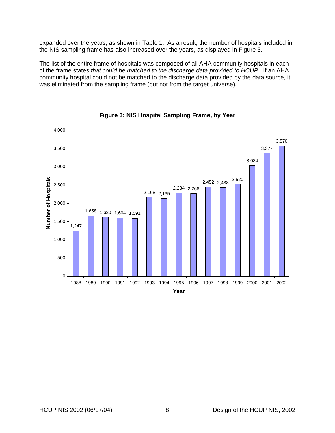<span id="page-15-0"></span>expanded over the years, as shown in [Table 1.](#page-9-1) As a result, the number of hospitals included in the NIS sampling frame has also increased over the years, as displayed in [Figure 3.](#page-15-1)

The list of the entire frame of hospitals was composed of all AHA community hospitals in each of the frame states *that could be matched to the discharge data provided to HCUP*. If an AHA community hospital could not be matched to the discharge data provided by the data source, it was eliminated from the sampling frame (but not from the target universe).



<span id="page-15-1"></span>**Figure 3: NIS Hospital Sampling Frame, by Year**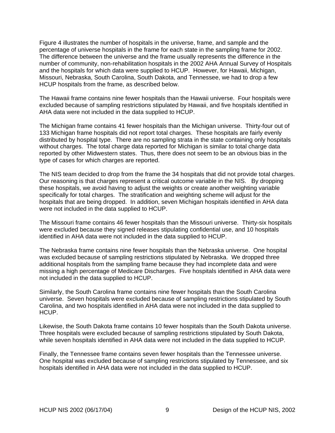[Figure 4](#page-17-1) illustrates the number of hospitals in the universe, frame, and sample and the percentage of universe hospitals in the frame for each state in the sampling frame for 2002. The difference between the universe and the frame usually represents the difference in the number of community, non-rehabilitation hospitals in the 2002 AHA Annual Survey of Hospitals and the hospitals for which data were supplied to HCUP. However, for Hawaii, Michigan, Missouri, Nebraska, South Carolina, South Dakota, and Tennessee, we had to drop a few HCUP hospitals from the frame, as described below.

The Hawaii frame contains nine fewer hospitals than the Hawaii universe. Four hospitals were excluded because of sampling restrictions stipulated by Hawaii, and five hospitals identified in AHA data were not included in the data supplied to HCUP.

The Michigan frame contains 41 fewer hospitals than the Michigan universe. Thirty-four out of 133 Michigan frame hospitals did not report total charges. These hospitals are fairly evenly distributed by hospital type. There are no sampling strata in the state containing only hospitals without charges. The total charge data reported for Michigan is similar to total charge data reported by other Midwestern states. Thus, there does not seem to be an obvious bias in the type of cases for which charges are reported.

The NIS team decided to drop from the frame the 34 hospitals that did not provide total charges. Our reasoning is that charges represent a critical outcome variable in the NIS. By dropping these hospitals, we avoid having to adjust the weights or create another weighting variable specifically for total charges. The stratification and weighting scheme will adjust for the hospitals that are being dropped. In addition, seven Michigan hospitals identified in AHA data were not included in the data supplied to HCUP.

The Missouri frame contains 46 fewer hospitals than the Missouri universe. Thirty-six hospitals were excluded because they signed releases stipulating confidential use, and 10 hospitals identified in AHA data were not included in the data supplied to HCUP.

The Nebraska frame contains nine fewer hospitals than the Nebraska universe. One hospital was excluded because of sampling restrictions stipulated by Nebraska. We dropped three additional hospitals from the sampling frame because they had incomplete data and were missing a high percentage of Medicare Discharges. Five hospitals identified in AHA data were not included in the data supplied to HCUP.

Similarly, the South Carolina frame contains nine fewer hospitals than the South Carolina universe. Seven hospitals were excluded because of sampling restrictions stipulated by South Carolina, and two hospitals identified in AHA data were not included in the data supplied to HCUP.

Likewise, the South Dakota frame contains 10 fewer hospitals than the South Dakota universe. Three hospitals were excluded because of sampling restrictions stipulated by South Dakota, while seven hospitals identified in AHA data were not included in the data supplied to HCUP.

Finally, the Tennessee frame contains seven fewer hospitals than the Tennessee universe. One hospital was excluded because of sampling restrictions stipulated by Tennessee, and six hospitals identified in AHA data were not included in the data supplied to HCUP.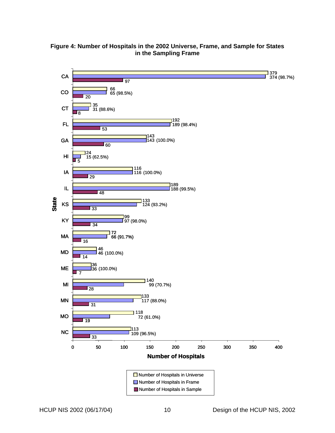

# <span id="page-17-1"></span><span id="page-17-0"></span>**Figure 4: Number of Hospitals in the 2002 Universe, Frame, and Sample for States in the Sampling Frame**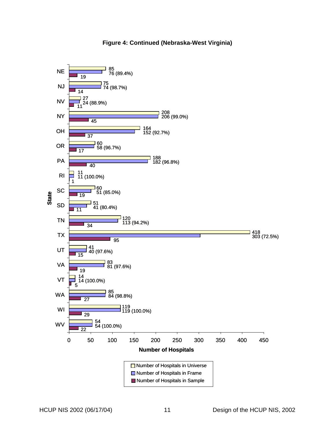

# **Figure 4: Continued (Nebraska-West Virginia)**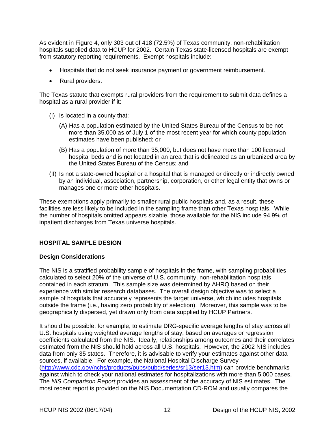<span id="page-19-0"></span>As evident in [Figure 4,](#page-17-1) only 303 out of 418 (72.5%) of Texas community, non-rehabilitation hospitals supplied data to HCUP for 2002. Certain Texas state-licensed hospitals are exempt from statutory reporting requirements. Exempt hospitals include:

- Hospitals that do not seek insurance payment or government reimbursement.
- Rural providers.

The Texas statute that exempts rural providers from the requirement to submit data defines a hospital as a rural provider if it:

- (I) Is located in a county that:
	- (A) Has a population estimated by the United States Bureau of the Census to be not more than 35,000 as of July 1 of the most recent year for which county population estimates have been published; or
	- (B) Has a population of more than 35,000, but does not have more than 100 licensed hospital beds and is not located in an area that is delineated as an urbanized area by the United States Bureau of the Census; and
- (II) Is not a state-owned hospital or a hospital that is managed or directly or indirectly owned by an individual, association, partnership, corporation, or other legal entity that owns or manages one or more other hospitals.

These exemptions apply primarily to smaller rural public hospitals and, as a result, these facilities are less likely to be included in the sampling frame than other Texas hospitals. While the number of hospitals omitted appears sizable, those available for the NIS include 94.9% of inpatient discharges from Texas universe hospitals.

# **HOSPITAL SAMPLE DESIGN**

# **Design Considerations**

The NIS is a stratified probability sample of hospitals in the frame, with sampling probabilities calculated to select 20% of the universe of U.S. community, non-rehabilitation hospitals contained in each stratum. This sample size was determined by AHRQ based on their experience with similar research databases. The overall design objective was to select a sample of hospitals that accurately represents the target universe, which includes hospitals outside the frame (i.e., having zero probability of selection). Moreover, this sample was to be geographically dispersed, yet drawn only from data supplied by HCUP Partners.

It should be possible, for example, to estimate DRG-specific average lengths of stay across all U.S. hospitals using weighted average lengths of stay, based on averages or regression coefficients calculated from the NIS. Ideally, relationships among outcomes and their correlates estimated from the NIS should hold across all U.S. hospitals. However, the 2002 NIS includes data from only 35 states. Therefore, it is advisable to verify your estimates against other data sources, if available. For example, the National Hospital Discharge Survey ([http://www.cdc.gov/nchs/products/pubs/pubd/series/sr13/ser13.htm\)](http://www.cdc.gov/nchs/products/pubs/pubd/series/sr13/ser13.htm) can provide benchmarks against which to check your national estimates for hospitalizations with more than 5,000 cases. The *NIS Comparison Report* provides an assessment of the accuracy of NIS estimates. The most recent report is provided on the NIS Documentation CD-ROM and usually compares the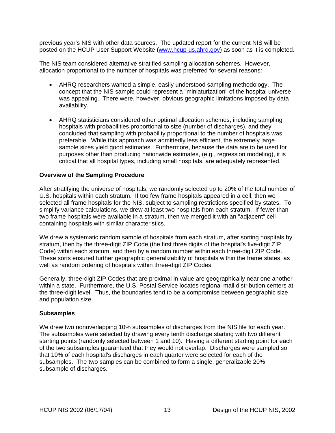<span id="page-20-0"></span>previous year's NIS with other data sources. The updated report for the current NIS will be posted on the HCUP User Support Website [\(www.hcup-us.ahrq.gov](http://www.hcup-us.ahrq.gov/)) as soon as it is completed.

The NIS team considered alternative stratified sampling allocation schemes. However, allocation proportional to the number of hospitals was preferred for several reasons:

- AHRQ researchers wanted a simple, easily understood sampling methodology. The concept that the NIS sample could represent a "miniaturization" of the hospital universe was appealing. There were, however, obvious geographic limitations imposed by data availability.
- AHRQ statisticians considered other optimal allocation schemes, including sampling hospitals with probabilities proportional to size (number of discharges), and they concluded that sampling with probability proportional to the number of hospitals was preferable. While this approach was admittedly less efficient, the extremely large sample sizes yield good estimates. Furthermore, because the data are to be used for purposes other than producing nationwide estimates, (e.g., regression modeling), it is critical that all hospital types, including small hospitals, are adequately represented.

### **Overview of the Sampling Procedure**

After stratifying the universe of hospitals, we randomly selected up to 20% of the total number of U.S. hospitals within each stratum. If too few frame hospitals appeared in a cell, then we selected all frame hospitals for the NIS, subject to sampling restrictions specified by states. To simplify variance calculations, we drew at least two hospitals from each stratum. If fewer than two frame hospitals were available in a stratum, then we merged it with an "adjacent" cell containing hospitals with similar characteristics.

We drew a systematic random sample of hospitals from each stratum, after sorting hospitals by stratum, then by the three-digit ZIP Code (the first three digits of the hospital's five-digit ZIP Code) within each stratum, and then by a random number within each three-digit ZIP Code. These sorts ensured further geographic generalizability of hospitals within the frame states, as well as random ordering of hospitals within three-digit ZIP Codes.

Generally, three-digit ZIP Codes that are proximal in value are geographically near one another within a state. Furthermore, the U.S. Postal Service locates regional mail distribution centers at the three-digit level. Thus, the boundaries tend to be a compromise between geographic size and population size.

#### **Subsamples**

We drew two nonoverlapping 10% subsamples of discharges from the NIS file for each year. The subsamples were selected by drawing every tenth discharge starting with two different starting points (randomly selected between 1 and 10). Having a different starting point for each of the two subsamples guaranteed that they would not overlap. Discharges were sampled so that 10% of each hospital's discharges in each quarter were selected for each of the subsamples. The two samples can be combined to form a single, generalizable 20% subsample of discharges.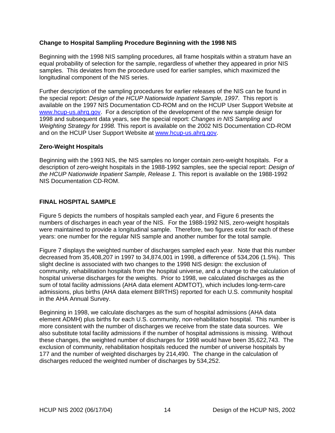# <span id="page-21-0"></span>**Change to Hospital Sampling Procedure Beginning with the 1998 NIS**

Beginning with the 1998 NIS sampling procedures, all frame hospitals within a stratum have an equal probability of selection for the sample, regardless of whether they appeared in prior NIS samples. This deviates from the procedure used for earlier samples, which maximized the longitudinal component of the NIS series.

Further description of the sampling procedures for earlier releases of the NIS can be found in the special report: *Design of the HCUP Nationwide Inpatient Sample, 1997*. This report is available on the 1997 NIS Documentation CD-ROM and on the HCUP User Support Website at [www.hcup-us.ahrq.gov.](http://www.hcup-us.ahrq.gov/) For a description of the development of the new sample design for 1998 and subsequent data years, see the special report: *Changes in NIS Sampling and Weighting Strategy for 1998.* This report is available on the 2002 NIS Documentation CD-ROM and on the HCUP User Support Website at [www.hcup-us.ahrq.gov.](http://www.hcup-us.ahrq.gov/)

# **Zero-Weight Hospitals**

Beginning with the 1993 NIS, the NIS samples no longer contain zero-weight hospitals. For a description of zero-weight hospitals in the 1988-1992 samples, see the special report: *Design of the HCUP Nationwide Inpatient Sample, Release 1.* This report is available on the 1988-1992 NIS Documentation CD-ROM.

# **FINAL HOSPITAL SAMPLE**

[Figure 5](#page-22-1) depicts the numbers of hospitals sampled each year, and [Figure 6](#page-22-2) presents the numbers of discharges in each year of the NIS. For the 1988-1992 NIS, zero-weight hospitals were maintained to provide a longitudinal sample. Therefore, two figures exist for each of these years: one number for the regular NIS sample and another number for the total sample.

[Figure 7](#page-23-1) displays the weighted number of discharges sampled each year. Note that this number decreased from 35,408,207 in 1997 to 34,874,001 in 1998, a difference of 534,206 (1.5%). This slight decline is associated with two changes to the 1998 NIS design: the exclusion of community, rehabilitation hospitals from the hospital universe, and a change to the calculation of hospital universe discharges for the weights. Prior to 1998, we calculated discharges as the sum of total facility admissions (AHA data element ADMTOT), which includes long-term-care admissions, plus births (AHA data element BIRTHS) reported for each U.S. community hospital in the AHA Annual Survey.

Beginning in 1998, we calculate discharges as the sum of hospital admissions (AHA data element ADMH) plus births for each U.S. community, non-rehabilitation hospital. This number is more consistent with the number of discharges we receive from the state data sources. We also substitute total facility admissions if the number of hospital admissions is missing. Without these changes, the weighted number of discharges for 1998 would have been 35,622,743. The exclusion of community, rehabilitation hospitals reduced the number of universe hospitals by 177 and the number of weighted discharges by 214,490. The change in the calculation of discharges reduced the weighted number of discharges by 534,252.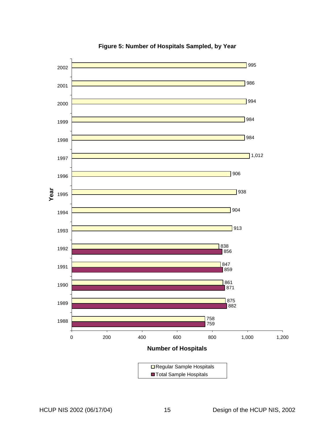<span id="page-22-0"></span>

<span id="page-22-2"></span><span id="page-22-1"></span>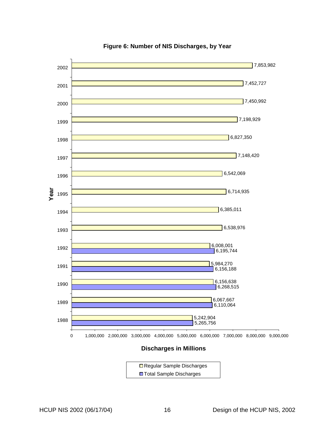<span id="page-23-0"></span>

# <span id="page-23-1"></span>**Figure 6: Number of NIS Discharges, by Year**

#### **Discharges in Millions**

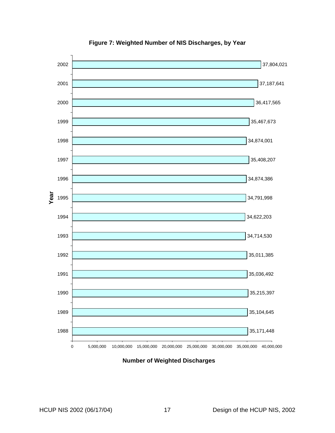<span id="page-24-0"></span>

**Figure 7: Weighted Number of NIS Discharges, by Year** 

**Number of Weighted Discharges**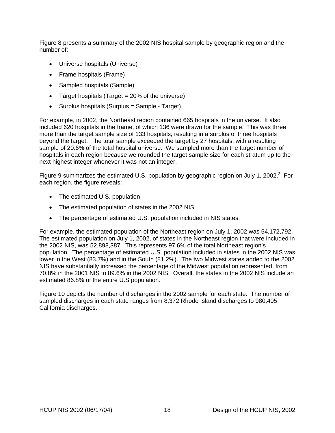[Figure 8](#page-26-1) presents a summary of the 2002 NIS hospital sample by geographic region and the number of:

- Universe hospitals (Universe)
- Frame hospitals (Frame)
- Sampled hospitals (Sample)
- Target hospitals (Target = 20% of the universe)
- Surplus hospitals (Surplus = Sample Target).

For example, in 2002, the Northeast region contained 665 hospitals in the universe. It also included 620 hospitals in the frame, of which 136 were drawn for the sample. This was three more than the target sample size of 133 hospitals, resulting in a surplus of three hospitals beyond the target. The total sample exceeded the target by 27 hospitals, with a resulting sample of 20.6% of the total hospital universe. We sampled more than the target number of hospitals in each region because we rounded the target sample size for each stratum up to the next highest integer whenever it was not an integer.

[Figure 9](#page-26-2) summarizes the estimated U.S. population by geographic region on July 1, [2](#page-34-2)002. $2$  For each region, the figure reveals:

- The estimated U.S. population
- The estimated population of states in the 2002 NIS
- The percentage of estimated U.S. population included in NIS states.

For example, the estimated population of the Northeast region on July 1, 2002 was 54,172,792. The estimated population on July 1, 2002, of states in the Northeast region that were included in the 2002 NIS, was 52,898,387. This represents 97.6% of the total Northeast region's population. The percentage of estimated U.S. population included in states in the 2002 NIS was lower in the West (83.7%) and in the South (81.2%). The two Midwest states added to the 2002 NIS have substantially increased the percentage of the Midwest population represented, from 70.8% in the 2001 NIS to 89.6% in the 2002 NIS. Overall, the states in the 2002 NIS include an estimated 86.8% of the entire U.S population.

[Figure 10](#page-27-1) depicts the number of discharges in the 2002 sample for each state. The number of sampled discharges in each state ranges from 8,372 Rhode Island discharges to 980,405 California discharges.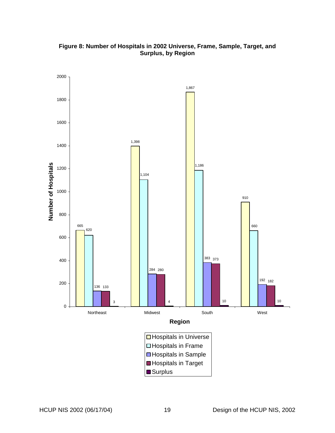<span id="page-26-0"></span>

<span id="page-26-2"></span><span id="page-26-1"></span>**Figure 8: Number of Hospitals in 2002 Universe, Frame, Sample, Target, and Surplus, by Region**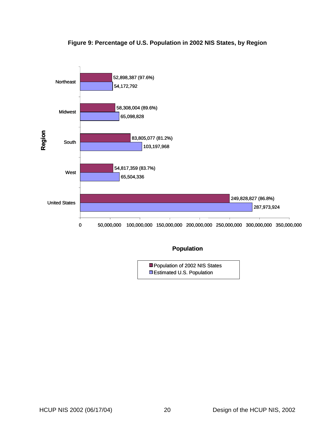<span id="page-27-0"></span>

# <span id="page-27-1"></span>**Figure 9: Percentage of U.S. Population in 2002 NIS States, by Region**

# **Population**

**Estimated U.S. Population** Population of 2002 NIS States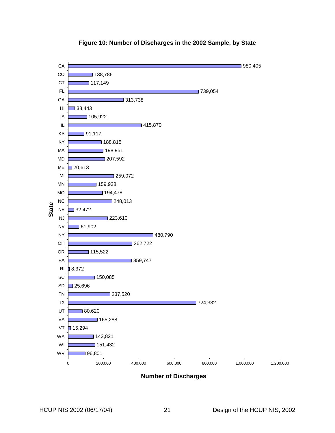<span id="page-28-0"></span>

# **Figure 10: Number of Discharges in the 2002 Sample, by State**

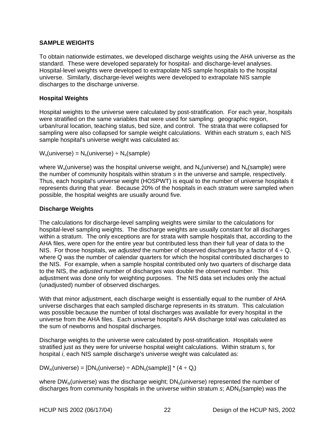# <span id="page-29-0"></span>**SAMPLE WEIGHTS**

To obtain nationwide estimates, we developed discharge weights using the AHA universe as the standard. These were developed separately for hospital- and discharge-level analyses. Hospital-level weights were developed to extrapolate NIS sample hospitals to the hospital universe. Similarly, discharge-level weights were developed to extrapolate NIS sample discharges to the discharge universe.

# **Hospital Weights**

Hospital weights to the universe were calculated by post-stratification. For each year, hospitals were stratified on the same variables that were used for sampling: geographic region, urban/rural location, teaching status, bed size, and control. The strata that were collapsed for sampling were also collapsed for sample weight calculations. Within each stratum *s*, each NIS sample hospital's universe weight was calculated as:

 $W_s$ (universe) =  $N_s$ (universe) ÷  $N_s$ (sample)

where  $W_s$ (universe) was the hospital universe weight, and  $N_s$ (universe) and  $N_s$ (sample) were the number of community hospitals within stratum *s* in the universe and sample, respectively. Thus, each hospital's universe weight (HOSPWT) is equal to the number of universe hospitals it represents during that year. Because 20% of the hospitals in each stratum were sampled when possible, the hospital weights are usually around five.

# **Discharge Weights**

The calculations for discharge-level sampling weights were similar to the calculations for hospital-level sampling weights. The discharge weights are usually constant for all discharges within a stratum. The only exceptions are for strata with sample hospitals that, according to the AHA files, were open for the entire year but contributed less than their full year of data to the NIS. For those hospitals, we *adjusted* the number of observed discharges by a factor of 4 ÷ Q, where Q was the number of calendar quarters for which the hospital contributed discharges to the NIS. For example, when a sample hospital contributed only two quarters of discharge data to the NIS, the *adjusted* number of discharges was double the observed number. This adjustment was done only for weighting purposes. The NIS data set includes only the actual (unadjusted) number of observed discharges.

With that minor adjustment, each discharge weight is essentially equal to the number of AHA universe discharges that each sampled discharge represents in its stratum. This calculation was possible because the number of total discharges was available for every hospital in the universe from the AHA files. Each universe hospital's AHA discharge total was calculated as the sum of newborns and hospital discharges.

Discharge weights to the universe were calculated by post-stratification. Hospitals were stratified just as they were for universe hospital weight calculations. Within stratum *s*, for hospital *i*, each NIS sample discharge's universe weight was calculated as:

 $DW_{is}$ (universe) =  $[DN_s$ (universe) ÷ ADN<sub>s</sub>(sample)] \* (4 ÷ Q<sub>i</sub>)

where  $DW_{is}$ (universe) was the discharge weight;  $DN_s$ (universe) represented the number of discharges from community hospitals in the universe within stratum *s*; ADN<sub>s</sub>(sample) was the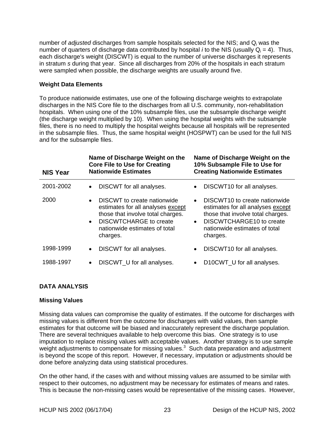<span id="page-30-0"></span>number of *adjusted* discharges from sample hospitals selected for the NIS; and Qi was the number of quarters of discharge data contributed by hospital *i* to the NIS (usually  $Q_i = 4$ ). Thus, each discharge's weight (DISCWT) is equal to the number of universe discharges it represents in stratum *s* during that year. Since all discharges from 20% of the hospitals in each stratum were sampled when possible, the discharge weights are usually around five.

# **Weight Data Elements**

To produce nationwide estimates, use one of the following discharge weights to extrapolate discharges in the NIS Core file to the discharges from all U.S. community, non-rehabilitation hospitals. When using one of the 10% subsample files, use the subsample discharge weight (the discharge weight multiplied by 10). When using the hospital weights with the subsample files, there is no need to multiply the hospital weights because all hospitals will be represented in the subsample files. Thus, the same hospital weight (HOSPWT) can be used for the full NIS and for the subsample files.

| <b>NIS Year</b> | Name of Discharge Weight on the<br><b>Core File to Use for Creating</b><br><b>Nationwide Estimates</b>                                                                                           | Name of Discharge Weight on the<br>10% Subsample File to Use for<br><b>Creating Nationwide Estimates</b>                                                                                                               |
|-----------------|--------------------------------------------------------------------------------------------------------------------------------------------------------------------------------------------------|------------------------------------------------------------------------------------------------------------------------------------------------------------------------------------------------------------------------|
| 2001-2002       | DISCWT for all analyses.                                                                                                                                                                         | DISCWT10 for all analyses.<br>$\bullet$                                                                                                                                                                                |
| 2000            | DISCWT to create nationwide<br>estimates for all analyses except<br>those that involve total charges.<br><b>DISCWTCHARGE to create</b><br>$\bullet$<br>nationwide estimates of total<br>charges. | DISCWT <sub>10</sub> to create nationwide<br>$\bullet$<br>estimates for all analyses except<br>those that involve total charges.<br>DISCWTCHARGE10 to create<br>$\bullet$<br>nationwide estimates of total<br>charges. |
| 1998-1999       | DISCWT for all analyses.<br>$\bullet$                                                                                                                                                            | DISCWT10 for all analyses.<br>$\bullet$                                                                                                                                                                                |
| 1988-1997       | DISCWT U for all analyses.<br>$\bullet$                                                                                                                                                          | D10CWT U for all analyses.<br>$\bullet$                                                                                                                                                                                |

# **DATA ANALYSIS**

# **Missing Values**

Missing data values can compromise the quality of estimates. If the outcome for discharges with missing values is different from the outcome for discharges with valid values, then sample estimates for that outcome will be biased and inaccurately represent the discharge population. There are several techniques available to help overcome this bias. One strategy is to use imputation to replace missing values with acceptable values. Another strategy is to use sample weight adjustments to compensate for missing values. $3$  Such data preparation and adjustment is beyond the scope of this report. However, if necessary, imputation or adjustments should be done before analyzing data using statistical procedures.

On the other hand, if the cases with and without missing values are assumed to be similar with respect to their outcomes, no adjustment may be necessary for estimates of means and rates. This is because the non-missing cases would be representative of the missing cases. However,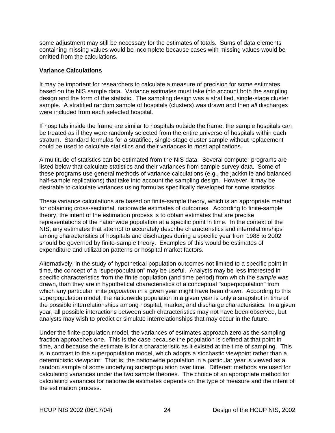<span id="page-31-0"></span>some adjustment may still be necessary for the estimates of totals. Sums of data elements containing missing values would be incomplete because cases with missing values would be omitted from the calculations.

### **Variance Calculations**

It may be important for researchers to calculate a measure of precision for some estimates based on the NIS sample data. Variance estimates must take into account both the sampling design and the form of the statistic. The sampling design was a stratified, single-stage cluster sample. A stratified random sample of hospitals (clusters) was drawn and then *all* discharges were included from each selected hospital.

If hospitals inside the frame are similar to hospitals outside the frame, the sample hospitals can be treated as if they were randomly selected from the entire universe of hospitals within each stratum. Standard formulas for a stratified, single-stage cluster sample without replacement could be used to calculate statistics and their variances in most applications.

A multitude of statistics can be estimated from the NIS data. Several computer programs are listed below that calculate statistics and their variances from sample survey data. Some of these programs use general methods of variance calculations (e.g., the jackknife and balanced half-sample replications) that take into account the sampling design. However, it may be desirable to calculate variances using formulas specifically developed for some statistics.

These variance calculations are based on finite-sample theory, which is an appropriate method for obtaining cross-sectional, nationwide estimates of outcomes. According to finite-sample theory, the intent of the estimation process is to obtain estimates that are precise representations of the nationwide population at a specific point in time. In the context of the NIS, any estimates that attempt to accurately describe characteristics and interrelationships among characteristics of hospitals and discharges during a specific year from 1988 to 2002 should be governed by finite-sample theory. Examples of this would be estimates of expenditure and utilization patterns or hospital market factors.

Alternatively, in the study of hypothetical population outcomes not limited to a specific point in time, the concept of a "superpopulation" may be useful. Analysts may be less interested in specific characteristics from the finite population (and time period) from which the *sample* was drawn, than they are in hypothetical characteristics of a conceptual "superpopulation" from which any particular finite *population* in a given year might have been drawn. According to this superpopulation model, the nationwide population in a given year is only a snapshot in time of the possible interrelationships among hospital, market, and discharge characteristics. In a given year, all possible interactions between such characteristics may not have been observed, but analysts may wish to predict or simulate interrelationships that may occur in the future.

Under the finite-population model, the variances of estimates approach zero as the sampling fraction approaches one. This is the case because the population is defined at that point in time, and because the estimate is for a characteristic as it existed at the time of sampling. This is in contrast to the superpopulation model, which adopts a stochastic viewpoint rather than a deterministic viewpoint. That is, the nationwide population in a particular year is viewed as a random sample of some underlying superpopulation over time. Different methods are used for calculating variances under the two sample theories. The choice of an appropriate method for calculating variances for nationwide estimates depends on the type of measure and the intent of the estimation process.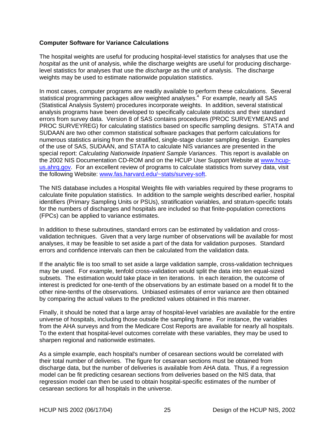# <span id="page-32-0"></span>**Computer Software for Variance Calculations**

The hospital weights are useful for producing hospital-level statistics for analyses that use the *hospital* as the unit of analysis, while the discharge weights are useful for producing dischargelevel statistics for analyses that use the *discharge* as the unit of analysis. The discharge weights may be used to estimate nationwide population statistics.

In most cases, computer programs are readily available to perform these calculations. Several statistical programming packages allow weighted analyses.<sup>[4](#page-34-4)</sup> For example, nearly all SAS (Statistical Analysis System) procedures incorporate weights. In addition, several statistical analysis programs have been developed to specifically calculate statistics and their standard errors from survey data. Version 8 of SAS contains procedures (PROC SURVEYMEANS and PROC SURVEYREG) for calculating statistics based on specific sampling designs. STATA and SUDAAN are two other common statistical software packages that perform calculations for numerous statistics arising from the stratified, single-stage cluster sampling design. Examples of the use of SAS, SUDAAN, and STATA to calculate NIS variances are presented in the special report: *Calculating Nationwide Inpatient Sample Variances*. This report is available on the 2002 NIS Documentation CD-ROM and on the HCUP User Support Website at [www.hcup](http://www.hcup-us.ahrq.gov/)[us.ahrq.gov.](http://www.hcup-us.ahrq.gov/) For an excellent review of programs to calculate statistics from survey data, visit the following Website: [www.fas.harvard.edu/~stats/survey-soft.](http://www.fas.harvard.edu/~stats/survey-soft)

The NIS database includes a Hospital Weights file with variables required by these programs to calculate finite population statistics. In addition to the sample weights described earlier, hospital identifiers (Primary Sampling Units or PSUs), stratification variables, and stratum-specific totals for the numbers of discharges and hospitals are included so that finite-population corrections (FPCs) can be applied to variance estimates.

In addition to these subroutines, standard errors can be estimated by validation and crossvalidation techniques. Given that a very large number of observations will be available for most analyses, it may be feasible to set aside a part of the data for validation purposes. Standard errors and confidence intervals can then be calculated from the validation data.

If the analytic file is too small to set aside a large validation sample, cross-validation techniques may be used. For example, tenfold cross-validation would split the data into ten equal-sized subsets. The estimation would take place in ten iterations. In each iteration, the outcome of interest is predicted for one-tenth of the observations by an estimate based on a model fit to the other nine-tenths of the observations. Unbiased estimates of error variance are then obtained by comparing the actual values to the predicted values obtained in this manner.

Finally, it should be noted that a large array of hospital-level variables are available for the entire universe of hospitals, including those outside the sampling frame. For instance, the variables from the AHA surveys and from the Medicare Cost Reports are available for nearly all hospitals. To the extent that hospital-level outcomes correlate with these variables, they may be used to sharpen regional and nationwide estimates.

As a simple example, each hospital's number of cesarean sections would be correlated with their total number of deliveries. The figure for cesarean sections must be obtained from discharge data, but the number of deliveries is available from AHA data. Thus, if a regression model can be fit predicting cesarean sections from deliveries based on the NIS data, that regression model can then be used to obtain hospital-specific estimates of the number of cesarean sections for all hospitals in the universe.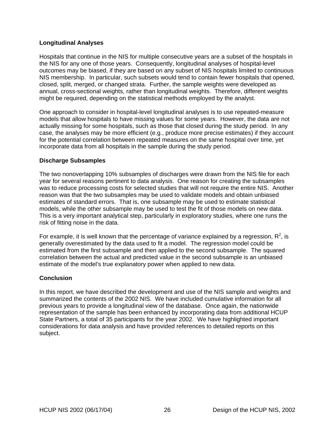# <span id="page-33-0"></span>**Longitudinal Analyses**

Hospitals that continue in the NIS for multiple consecutive years are a subset of the hospitals in the NIS for any one of those years. Consequently, longitudinal analyses of hospital-level outcomes may be biased, if they are based on any subset of NIS hospitals limited to continuous NIS membership. In particular, such subsets would tend to contain fewer hospitals that opened, closed, split, merged, or changed strata. Further, the sample weights were developed as annual, cross-sectional weights, rather than longitudinal weights. Therefore, different weights might be required, depending on the statistical methods employed by the analyst.

One approach to consider in hospital-level longitudinal analyses is to use repeated-measure models that allow hospitals to have missing values for some years. However, the data are not actually missing for some hospitals, such as those that closed during the study period. In any case, the analyses may be more efficient (e.g., produce more precise estimates) if they account for the potential correlation between repeated measures on the same hospital over time, yet incorporate data from all hospitals in the sample during the study period.

### **Discharge Subsamples**

The two nonoverlapping 10% subsamples of discharges were drawn from the NIS file for each year for several reasons pertinent to data analysis. One reason for creating the subsamples was to reduce processing costs for selected studies that will not require the entire NIS. Another reason was that the two subsamples may be used to validate models and obtain unbiased estimates of standard errors. That is, one subsample may be used to estimate statistical models, while the other subsample may be used to test the fit of those models on new data. This is a very important analytical step, particularly in exploratory studies, where one runs the risk of fitting noise in the data.

For example, it is well known that the percentage of variance explained by a regression,  $R^2$ , is generally overestimated by the data used to fit a model. The regression model could be estimated from the first subsample and then applied to the second subsample. The squared correlation between the actual and predicted value in the second subsample is an unbiased estimate of the model's true explanatory power when applied to new data.

#### **Conclusion**

In this report, we have described the development and use of the NIS sample and weights and summarized the contents of the 2002 NIS. We have included cumulative information for all previous years to provide a longitudinal view of the database. Once again, the nationwide representation of the sample has been enhanced by incorporating data from additional HCUP State Partners, a total of 35 participants for the year 2002. We have highlighted important considerations for data analysis and have provided references to detailed reports on this subject.